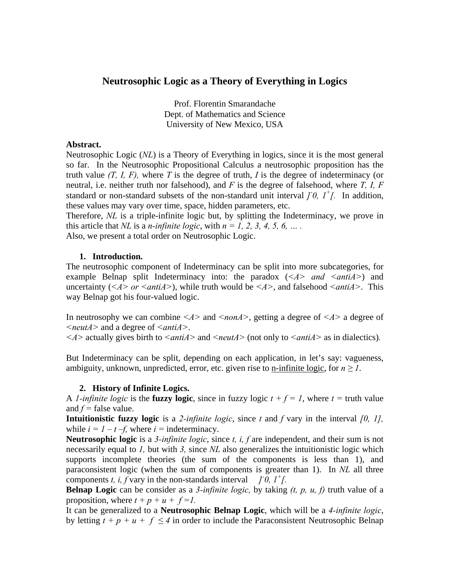# **Neutrosophic Logic as a Theory of Everything in Logics**

Prof. Florentin Smarandache Dept. of Mathematics and Science University of New Mexico, USA

### **Abstract.**

Neutrosophic Logic (*NL*) is a Theory of Everything in logics, since it is the most general so far. In the Neutrosophic Propositional Calculus a neutrosophic proposition has the truth value *(T, I, F),* where *T* is the degree of truth, *I* is the degree of indeterminacy (or neutral, i.e. neither truth nor falsehood), and *F* is the degree of falsehood, where *T, I, F* standard or non-standard subsets of the non-standard unit interval  $\int_0^1$ ,  $I^+$ . In addition, these values may vary over time, space, hidden parameters, etc.

Therefore, *NL* is a triple-infinite logic but, by splitting the Indeterminacy, we prove in this article that *NL* is a *n-infinite logic*, with  $n = 1, 2, 3, 4, 5, 6, \ldots$ .

Also, we present a total order on Neutrosophic Logic.

## **1. Introduction.**

The neutrosophic component of Indeterminacy can be split into more subcategories, for example Belnap split Indeterminacy into: the paradox (<*A*> *and* <*antiA*>) and uncertainty ( $\leq$ *A*> or  $\leq$ *antiA*>), while truth would be  $\leq$ *A*>, and falsehood  $\leq$ *antiA*>. This way Belnap got his four-valued logic.

In neutrosophy we can combine *<A>* and *<nonA>*, getting a degree of *<A>* a degree of *<neutA>* and a degree of *<antiA>*.

*<A>* actually gives birth to *<antiA>* and *<neutA>* (not only to *<antiA>* as in dialectics)*.* 

But Indeterminacy can be split, depending on each application, in let's say: vagueness, ambiguity, unknown, unpredicted, error, etc. given rise to <u>n-infinite logic</u>, for  $n \geq 1$ .

## **2. History of Infinite Logics.**

A *l*-infinite logic is the **fuzzy logic**, since in fuzzy logic  $t + f = 1$ , where  $t =$  truth value and  $f$  = false value.

**Intuitionistic fuzzy logic** is a *2-infinite logic*, since *t* and *f* vary in the interval *[0, 1],* while  $i = 1 - t - f$ , where  $i =$  indeterminacy.

**Neutrosophic logic** is a *3-infinite logic*, since *t, i, f* are independent, and their sum is not necessarily equal to *1,* but with *3,* since *NL* also generalizes the intuitionistic logic which supports incomplete theories (the sum of the components is less than 1), and paraconsistent logic (when the sum of components is greater than 1). In *NL* all three components *t, i, f* vary in the non-standards interval *[0, 1<sup>+</sup>[.*]

**Belnap Logic** can be consider as a *3-infinite logic,* by taking *(t, p, u, f)* truth value of a proposition, where  $t + p + u + f = 1$ .

It can be generalized to a **Neutrosophic Belnap Logic**, which will be a *4-infinite logic*, by letting  $t + p + u + f \le 4$  in order to include the Paraconsistent Neutrosophic Belnap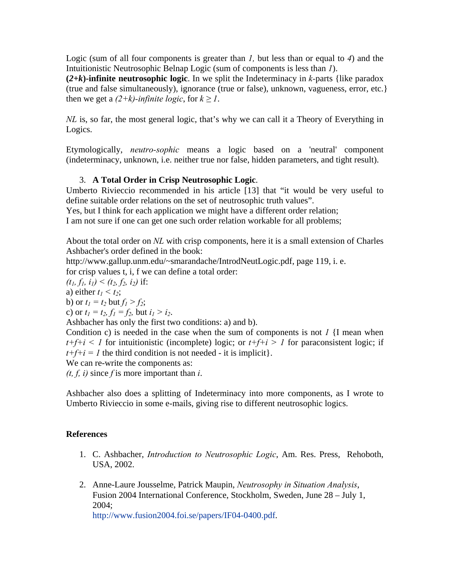Logic (sum of all four components is greater than *1,* but less than or equal to *4*) and the Intuitionistic Neutrosophic Belnap Logic (sum of components is less than *1*).

 $(2+k)$ -infinite neutrosophic logic. In we split the Indeterminacy in *k*-parts {like paradox (true and false simultaneously), ignorance (true or false), unknown, vagueness, error, etc.} then we get a  $(2+k)$ -infinite logic, for  $k \geq 1$ .

*NL* is, so far, the most general logic, that's why we can call it a Theory of Everything in Logics.

Etymologically, *neutro-sophic* means a logic based on a 'neutral' component (indeterminacy, unknown, i.e. neither true nor false, hidden parameters, and tight result).

# 3. **A Total Order in Crisp Neutrosophic Logic**.

Umberto Rivieccio recommended in his article [13] that "it would be very useful to define suitable order relations on the set of neutrosophic truth values".

Yes, but I think for each application we might have a different order relation;

I am not sure if one can get one such order relation workable for all problems;

About the total order on *NL* with crisp components, here it is a small extension of Charles Ashbacher's order defined in the book:

http://www.gallup.unm.edu/~smarandache/IntrodNeutLogic.pdf, page 119, i. e.

for crisp values t, i, f we can define a total order:

$$
(t_1, f_1, i_1) < (t_2, f_2, i_2)
$$
 if:

a) either  $t_1 \leq t_2$ ;

b) or  $t_1 = t_2$  but  $f_1 > f_2$ ;

c) or  $t_1 = t_2$ ,  $f_1 = f_2$ , but  $i_1 > i_2$ .

Ashbacher has only the first two conditions: a) and b).

Condition c) is needed in the case when the sum of components is not *1* {I mean when  $t+f+i < 1$  for intuitionistic (incomplete) logic; or  $t+f+i > 1$  for paraconsistent logic; if  $t+f+i = 1$  the third condition is not needed - it is implicit}.

We can re-write the components as:

*(t, f, i)* since *f* is more important than *i*.

Ashbacher also does a splitting of Indeterminacy into more components, as I wrote to Umberto Rivieccio in some e-mails, giving rise to different neutrosophic logics.

## **References**

- 1. C. Ashbacher, *Introduction to Neutrosophic Logic*, Am. Res. Press, Rehoboth, USA, 2002.
- 2. Anne-Laure Jousselme, Patrick Maupin, *Neutrosophy in Situation Analysis*, Fusion 2004 International Conference, Stockholm, Sweden, June 28 – July 1, 2004;

http://www.fusion2004.foi.se/papers/IF04-0400.pdf.